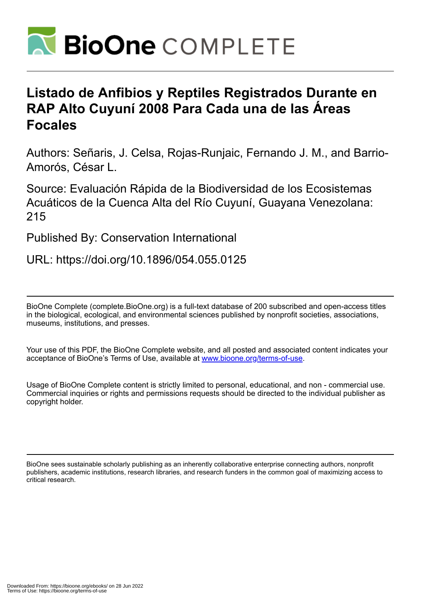

## **Listado de Anfibios y Reptiles Registrados Durante en RAP Alto Cuyuní 2008 Para Cada una de las Áreas Focales**

Authors: Señaris, J. Celsa, Rojas-Runjaic, Fernando J. M., and Barrio-Amorós, César L.

Source: Evaluación Rápida de la Biodiversidad de los Ecosistemas Acuáticos de la Cuenca Alta del Río Cuyuní, Guayana Venezolana: 215

Published By: Conservation International

URL: https://doi.org/10.1896/054.055.0125

BioOne Complete (complete.BioOne.org) is a full-text database of 200 subscribed and open-access titles in the biological, ecological, and environmental sciences published by nonprofit societies, associations, museums, institutions, and presses.

Your use of this PDF, the BioOne Complete website, and all posted and associated content indicates your acceptance of BioOne's Terms of Use, available at www.bioone.org/terms-of-use.

Usage of BioOne Complete content is strictly limited to personal, educational, and non - commercial use. Commercial inquiries or rights and permissions requests should be directed to the individual publisher as copyright holder.

BioOne sees sustainable scholarly publishing as an inherently collaborative enterprise connecting authors, nonprofit publishers, academic institutions, research libraries, and research funders in the common goal of maximizing access to critical research.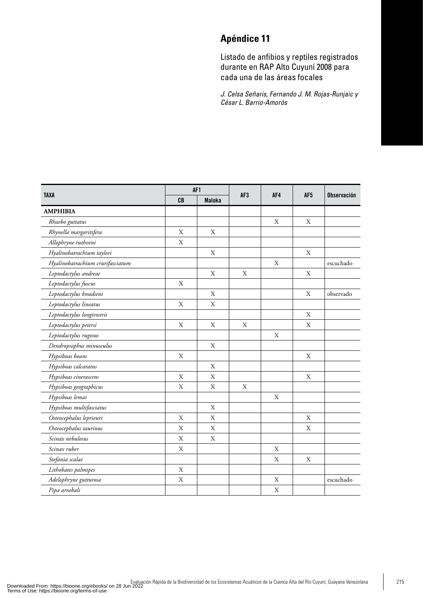## **Apéndice 11**

Listado de anfibios y reptiles registrados durante en RAP Alto Cuyuní 2008 para cada una de las áreas focales

*J. Celsa Señaris, Fernando J. M. Rojas-Runjaic y César L. Barrio-Amorós*

| <b>TAXA</b>                      | AF1         |               |                 |             |     |                    |
|----------------------------------|-------------|---------------|-----------------|-------------|-----|--------------------|
|                                  | CB          | <b>Maloka</b> | AF <sub>3</sub> | AF4         | AF5 | <b>Observación</b> |
| <b>AMPHIBIA</b>                  |             |               |                 |             |     |                    |
| Rhaebo guttatus                  |             |               |                 | X           | X   |                    |
| Rhynella margaritifera           | X           | X             |                 |             |     |                    |
| Allophryne ruthveni              | X           |               |                 |             |     |                    |
| Hyalinobatrachium taylori        |             | X             |                 |             | X   |                    |
| Hyalinobatrachium crurifasciatum |             |               |                 | $\mathbf X$ |     | escuchado          |
| Leptodactylus andreae            |             | X             | X               |             | X   |                    |
| Leptodactylus fuscus             | $\mathbf X$ |               |                 |             |     |                    |
| Leptodactylus knudseni           |             | X             |                 |             | X   | observado          |
| Leptodactylus lineatus           | X           | X             |                 |             |     |                    |
| Leptodactylus longirostris       |             |               |                 |             | X   |                    |
| Leptodactylus petersi            | X           | X             | X               |             | X   |                    |
| Leptodactylus rugosus            |             |               |                 | X           |     |                    |
| Dendropsophus minusculus         |             | X             |                 |             |     |                    |
| Hypsiboas boans                  | X           |               |                 |             | X   |                    |
| Hypsiboas calcaratus             |             | X             |                 |             |     |                    |
| Hypsiboas cinerascens            | X           | X             |                 |             | X   |                    |
| Hypsiboas geographicus           | X           | X             | X               |             |     |                    |
| Hypsiboas lemai                  |             |               |                 | X           |     |                    |
| Hypsiboas multifasciatus         |             | X             |                 |             |     |                    |
| Osteocephalus leprieuri          | X           | X             |                 |             | X   |                    |
| Osteocephalus taurinus           | X           | X             |                 |             | X   |                    |
| Scinax nebulosus                 | X           | Χ             |                 |             |     |                    |
| Scinax ruber                     | X           |               |                 | X           |     |                    |
| Stefania scalae                  |             |               |                 | X           | X   |                    |
| Lithobates palmipes              | X           |               |                 |             |     |                    |
| Adelophryne gutturosa            | $\mathbf X$ |               |                 | $\mathbf X$ |     | escuchado          |
| Pipa arrabali                    |             |               |                 | X           |     |                    |
|                                  |             |               |                 |             |     |                    |